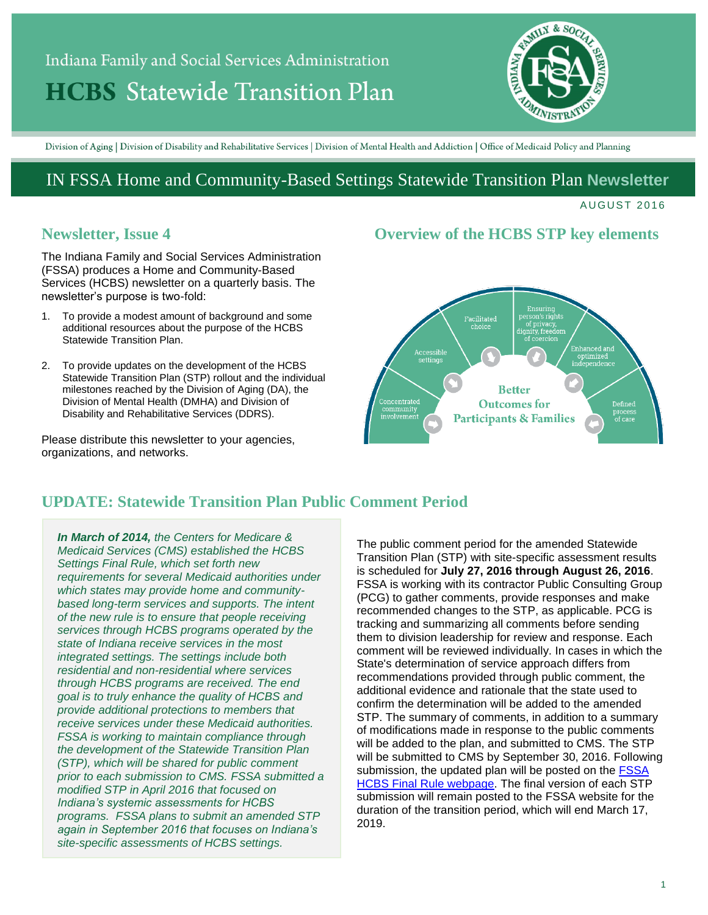# Indiana Family and Social Services Administration **HCBS** Statewide Transition Plan



Division of Aging | Division of Disability and Rehabilitative Services | Division of Mental Health and Addiction | Office of Medicaid Policy and Planning

# IN FSSA Home and Community-Based Settings Statewide Transition Plan **Newsletter**

#### **AUGUST 2016**

## **Newsletter, Issue 4**

The Indiana Family and Social Services Administration (FSSA) produces a Home and Community-Based Services (HCBS) newsletter on a quarterly basis. The newsletter's purpose is two-fold:

- 1. To provide a modest amount of background and some additional resources about the purpose of the HCBS Statewide Transition Plan.
- 2. To provide updates on the development of the HCBS Statewide Transition Plan (STP) rollout and the individual milestones reached by the Division of Aging (DA), the Division of Mental Health (DMHA) and Division of Disability and Rehabilitative Services (DDRS).

Please distribute this newsletter to your agencies, organizations, and networks.

## **Overview of the HCBS STP key elements**



# **UPDATE: Statewide Transition Plan Public Comment Period**

*In March of 2014, the Centers for Medicare & Medicaid Services (CMS) established the HCBS Settings Final Rule, which set forth new requirements for several Medicaid authorities under which states may provide home and communitybased long-term services and supports. The intent of the new rule is to ensure that people receiving services through HCBS programs operated by the state of Indiana receive services in the most integrated settings. The settings include both residential and non-residential where services through HCBS programs are received. The end goal is to truly enhance the quality of HCBS and provide additional protections to members that receive services under these Medicaid authorities. FSSA is working to maintain compliance through the development of the Statewide Transition Plan (STP), which will be shared for public comment prior to each submission to CMS. FSSA submitted a modified STP in April 2016 that focused on Indiana's systemic assessments for HCBS programs. FSSA plans to submit an amended STP again in September 2016 that focuses on Indiana's site-specific assessments of HCBS settings.*

The public comment period for the amended Statewide Transition Plan (STP) with site-specific assessment results is scheduled for **July 27, 2016 through August 26, 2016**. FSSA is working with its contractor Public Consulting Group (PCG) to gather comments, provide responses and make recommended changes to the STP, as applicable. PCG is tracking and summarizing all comments before sending them to division leadership for review and response. Each comment will be reviewed individually. In cases in which the State's determination of service approach differs from recommendations provided through public comment, the additional evidence and rationale that the state used to confirm the determination will be added to the amended STP. The summary of comments, in addition to a summary of modifications made in response to the public comments will be added to the plan, and submitted to CMS. The STP will be submitted to CMS by September 30, 2016. Following submission, the updated plan will be posted on the FSSA [HCBS Final Rule webpage.](https://secure.in.gov/fssa/4917.htm) The final version of each STP submission will remain posted to the FSSA website for the duration of the transition period, which will end March 17, 2019.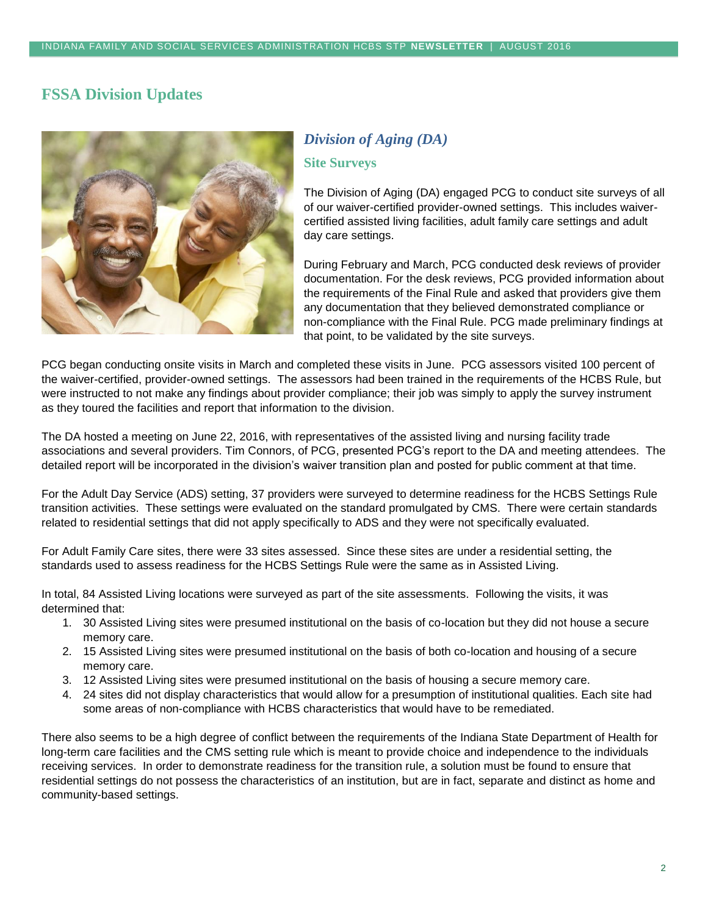# **FSSA Division Updates**



# *Division of Aging (DA)* **Site Surveys**

The Division of Aging (DA) engaged PCG to conduct site surveys of all of our waiver-certified provider-owned settings. This includes waivercertified assisted living facilities, adult family care settings and adult day care settings.

During February and March, PCG conducted desk reviews of provider documentation. For the desk reviews, PCG provided information about the requirements of the Final Rule and asked that providers give them any documentation that they believed demonstrated compliance or non-compliance with the Final Rule. PCG made preliminary findings at that point, to be validated by the site surveys.

PCG began conducting onsite visits in March and completed these visits in June. PCG assessors visited 100 percent of the waiver-certified, provider-owned settings. The assessors had been trained in the requirements of the HCBS Rule, but were instructed to not make any findings about provider compliance; their job was simply to apply the survey instrument as they toured the facilities and report that information to the division.

The DA hosted a meeting on June 22, 2016, with representatives of the assisted living and nursing facility trade associations and several providers. Tim Connors, of PCG, presented PCG's report to the DA and meeting attendees. The detailed report will be incorporated in the division's waiver transition plan and posted for public comment at that time.

For the Adult Day Service (ADS) setting, 37 providers were surveyed to determine readiness for the HCBS Settings Rule transition activities. These settings were evaluated on the standard promulgated by CMS. There were certain standards related to residential settings that did not apply specifically to ADS and they were not specifically evaluated.

For Adult Family Care sites, there were 33 sites assessed. Since these sites are under a residential setting, the standards used to assess readiness for the HCBS Settings Rule were the same as in Assisted Living.

In total, 84 Assisted Living locations were surveyed as part of the site assessments. Following the visits, it was determined that:

- 1. 30 Assisted Living sites were presumed institutional on the basis of co-location but they did not house a secure memory care.
- 2. 15 Assisted Living sites were presumed institutional on the basis of both co-location and housing of a secure memory care.
- 3. 12 Assisted Living sites were presumed institutional on the basis of housing a secure memory care.
- 4. 24 sites did not display characteristics that would allow for a presumption of institutional qualities. Each site had some areas of non-compliance with HCBS characteristics that would have to be remediated.

There also seems to be a high degree of conflict between the requirements of the Indiana State Department of Health for long-term care facilities and the CMS setting rule which is meant to provide choice and independence to the individuals receiving services. In order to demonstrate readiness for the transition rule, a solution must be found to ensure that residential settings do not possess the characteristics of an institution, but are in fact, separate and distinct as home and community-based settings.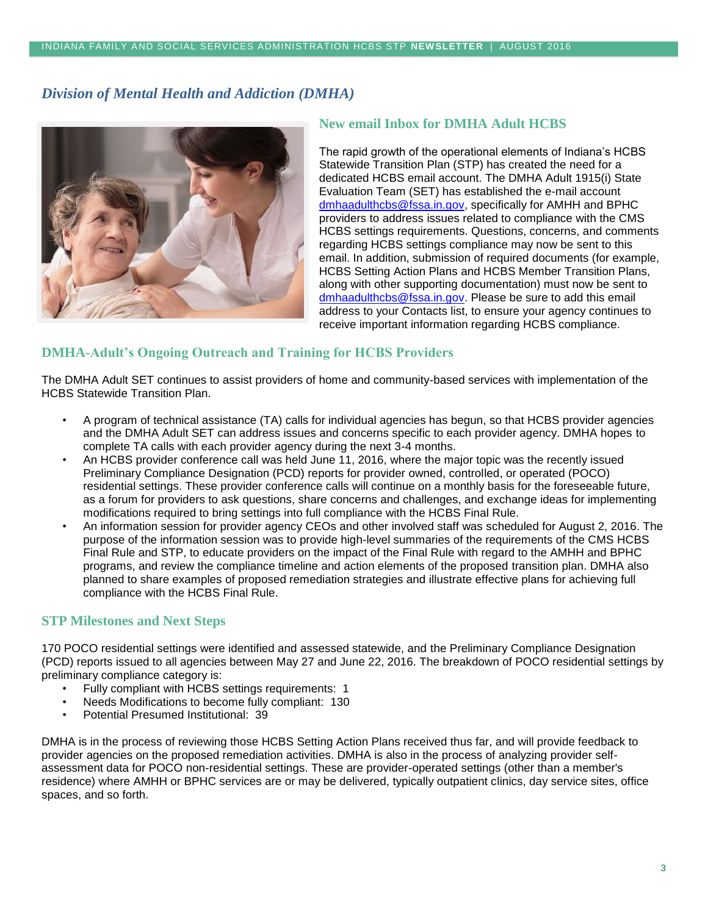## *Division of Mental Health and Addiction (DMHA)*



## **New email Inbox for DMHA Adult HCBS**

The rapid growth of the operational elements of Indiana's HCBS Statewide Transition Plan (STP) has created the need for a dedicated HCBS email account. The DMHA Adult 1915(i) State Evaluation Team (SET) has established the e-mail account [dmhaadulthcbs@fssa.in.gov,](file:///C:/Users/kknutson/AppData/Local/Microsoft/Windows/Temporary%20Internet%20Files/Content.Outlook/77TPDQPF/dmhaadulthcbs@fssa.in.gov) specifically for AMHH and BPHC providers to address issues related to compliance with the CMS HCBS settings requirements. Questions, concerns, and comments regarding HCBS settings compliance may now be sent to this email. In addition, submission of required documents (for example, HCBS Setting Action Plans and HCBS Member Transition Plans, along with other supporting documentation) must now be sent to [dmhaadulthcbs@fssa.in.gov.](file:///C:/Users/kknutson/AppData/Local/Microsoft/Windows/Temporary%20Internet%20Files/Content.Outlook/77TPDQPF/dmhaadulthcbs@fssa.in.gov) Please be sure to add this email address to your Contacts list, to ensure your agency continues to receive important information regarding HCBS compliance.

## **DMHA-Adult's Ongoing Outreach and Training for HCBS Providers**

The DMHA Adult SET continues to assist providers of home and community-based services with implementation of the HCBS Statewide Transition Plan.

- A program of technical assistance (TA) calls for individual agencies has begun, so that HCBS provider agencies and the DMHA Adult SET can address issues and concerns specific to each provider agency. DMHA hopes to complete TA calls with each provider agency during the next 3-4 months.
- An HCBS provider conference call was held June 11, 2016, where the major topic was the recently issued Preliminary Compliance Designation (PCD) reports for provider owned, controlled, or operated (POCO) residential settings. These provider conference calls will continue on a monthly basis for the foreseeable future, as a forum for providers to ask questions, share concerns and challenges, and exchange ideas for implementing modifications required to bring settings into full compliance with the HCBS Final Rule.
- An information session for provider agency CEOs and other involved staff was scheduled for August 2, 2016. The purpose of the information session was to provide high-level summaries of the requirements of the CMS HCBS Final Rule and STP, to educate providers on the impact of the Final Rule with regard to the AMHH and BPHC programs, and review the compliance timeline and action elements of the proposed transition plan. DMHA also planned to share examples of proposed remediation strategies and illustrate effective plans for achieving full compliance with the HCBS Final Rule.

#### **STP Milestones and Next Steps**

170 POCO residential settings were identified and assessed statewide, and the Preliminary Compliance Designation (PCD) reports issued to all agencies between May 27 and June 22, 2016. The breakdown of POCO residential settings by preliminary compliance category is:

- Fully compliant with HCBS settings requirements: 1
- Needs Modifications to become fully compliant: 130
- Potential Presumed Institutional: 39

DMHA is in the process of reviewing those HCBS Setting Action Plans received thus far, and will provide feedback to provider agencies on the proposed remediation activities. DMHA is also in the process of analyzing provider selfassessment data for POCO non-residential settings. These are provider-operated settings (other than a member's residence) where AMHH or BPHC services are or may be delivered, typically outpatient clinics, day service sites, office spaces, and so forth.